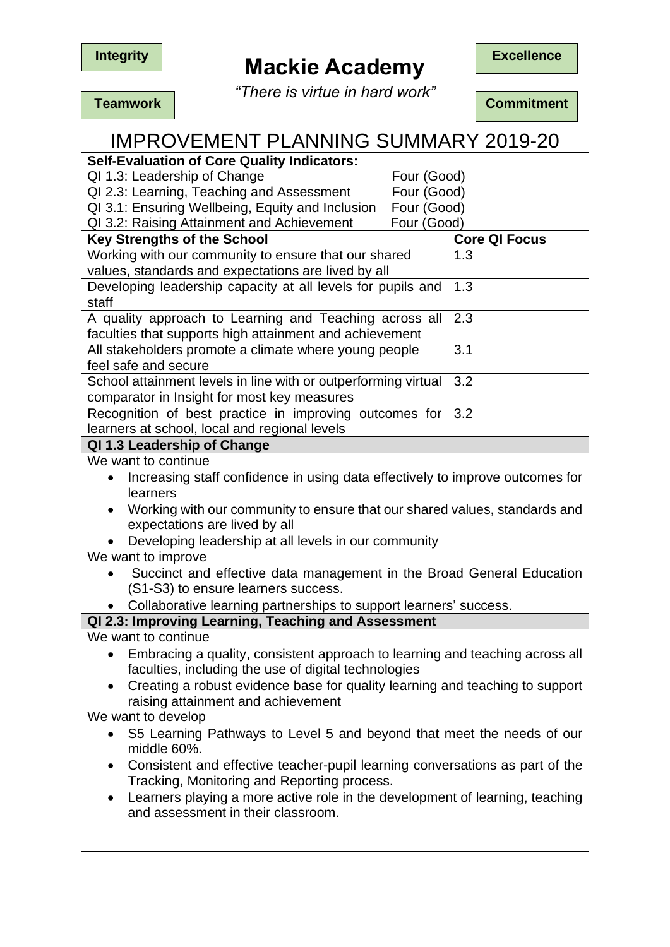

# **Mackie Academy** Excellence

*"There is virtue in hard work"*

IMPROVEMENT PLANNING SUMMARY 2019-20

**Teamwork Commitment** 

| <b>Self-Evaluation of Core Quality Indicators:</b>                                        |                      |
|-------------------------------------------------------------------------------------------|----------------------|
| QI 1.3: Leadership of Change<br>Four (Good)                                               |                      |
| Four (Good)<br>QI 2.3: Learning, Teaching and Assessment                                  |                      |
| QI 3.1: Ensuring Wellbeing, Equity and Inclusion<br>Four (Good)                           |                      |
| QI 3.2: Raising Attainment and Achievement<br>Four (Good)                                 |                      |
| Key Strengths of the School                                                               | <b>Core QI Focus</b> |
| Working with our community to ensure that our shared                                      | 1.3                  |
| values, standards and expectations are lived by all                                       |                      |
| Developing leadership capacity at all levels for pupils and                               | 1.3                  |
| staff                                                                                     |                      |
| A quality approach to Learning and Teaching across all                                    | 2.3                  |
| faculties that supports high attainment and achievement                                   |                      |
| All stakeholders promote a climate where young people                                     | 3.1                  |
| feel safe and secure                                                                      |                      |
| School attainment levels in line with or outperforming virtual                            | 3.2                  |
| comparator in Insight for most key measures                                               |                      |
| Recognition of best practice in improving outcomes for                                    | 3.2                  |
| learners at school, local and regional levels                                             |                      |
| QI 1.3 Leadership of Change                                                               |                      |
| We want to continue                                                                       |                      |
| Increasing staff confidence in using data effectively to improve outcomes for             |                      |
| learners                                                                                  |                      |
| Working with our community to ensure that our shared values, standards and                |                      |
| expectations are lived by all                                                             |                      |
| Developing leadership at all levels in our community                                      |                      |
| We want to improve                                                                        |                      |
| Succinct and effective data management in the Broad General Education                     |                      |
| (S1-S3) to ensure learners success.                                                       |                      |
| Collaborative learning partnerships to support learners' success.                         |                      |
| QI 2.3: Improving Learning, Teaching and Assessment                                       |                      |
| We want to continue                                                                       |                      |
| Embracing a quality, consistent approach to learning and teaching across all              |                      |
| faculties, including the use of digital technologies                                      |                      |
| • Creating a robust evidence base for quality learning and teaching to support            |                      |
| raising attainment and achievement                                                        |                      |
| We want to develop                                                                        |                      |
| S5 Learning Pathways to Level 5 and beyond that meet the needs of our<br>$\bullet$        |                      |
| middle 60%.                                                                               |                      |
| Consistent and effective teacher-pupil learning conversations as part of the<br>$\bullet$ |                      |
| Tracking, Monitoring and Reporting process.                                               |                      |
| Learners playing a more active role in the development of learning, teaching<br>$\bullet$ |                      |
| and assessment in their classroom.                                                        |                      |